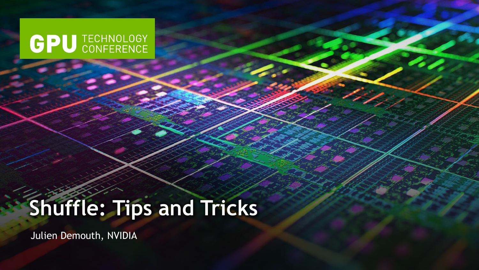# **GPU** TECHNOLOGY

# **Shuffle: Tips and Tricks**

Julien Demouth, NVIDIA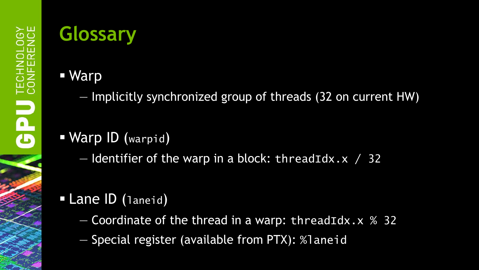## **Glossary**

- Warp
	- Implicitly synchronized group of threads (32 on current HW)

#### Warp ID (warpid)

 $-$  Identifier of the warp in a block: threadIdx.x / 32

#### Lane ID (laneid)

- $-$  Coordinate of the thread in a warp: threadIdx.x  $%$  32
- Special register (available from PTX): %laneid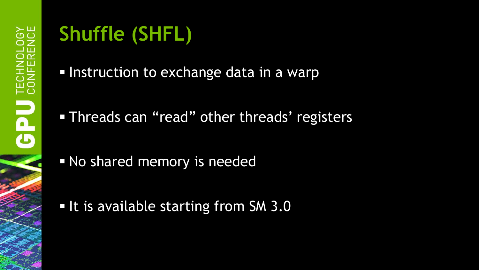## **Shuffle (SHFL)**

- Instruction to exchange data in a warp
- Threads can "read" other threads' registers
- No shared memory is needed
- It is available starting from SM 3.0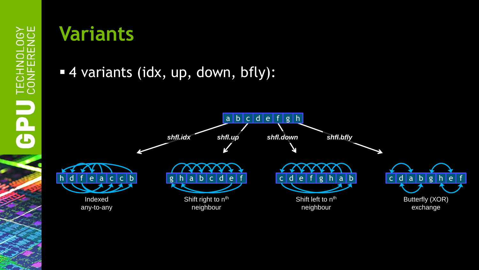### **Variants**

4 variants (idx, up, down, bfly):

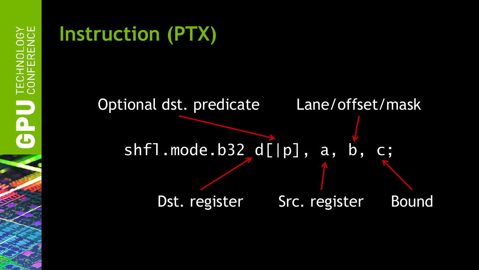## **Instruction (PTX)**

## shfl.mode.b32 d[|p], a, b, c; Src. register Lane/offset/mask Dst. register Src. register Bound Optional dst. predicate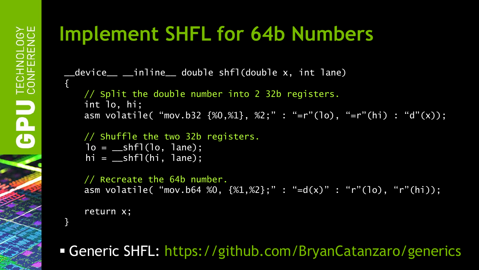## **Implement SHFL for 64b Numbers**

\_\_device\_\_ \_\_inline\_\_ double shfl(double x, int lane)

// Split the double number into 2 32b registers. int lo, hi; asm volatile( "mov.b32 {%0,%1}, %2;" : "=r"(lo), "=r"(hi) : "d"(x));

```
// Shuffle the two 32b registers.
lo = \text{subf1}(lo, \text{lane});hi = \_shf1(hi, Jane);
```
// Recreate the 64b number. asm volatile( "mov.b64 %0,  $\{$ %1,%2};" : "=d(x)" : "r"(lo), "r"(hi));

return x;

}

{

Generic SHFL: https://github.com/BryanCatanzaro/generics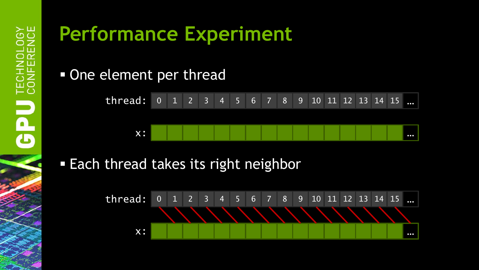#### • One element per thread



#### **Each thread takes its right neighbor**

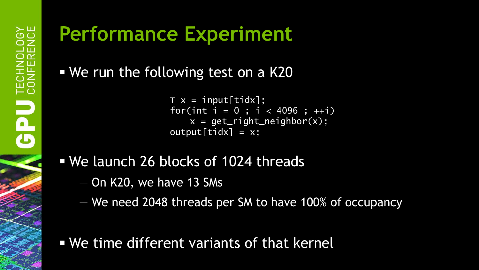We run the following test on a K20

```
T x = input[tidx]:for(int i = 0; i < 4096; +i)
   x = get\_right\_neighbour(x);output[tidx] = x;
```
#### We launch 26 blocks of 1024 threads

- On K20, we have 13 SMs
- We need 2048 threads per SM to have 100% of occupancy
- We time different variants of that kernel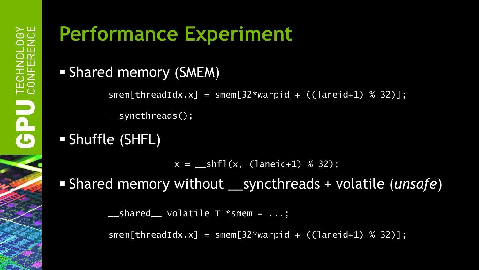Shared memory (SMEM)

smem[threadIdx.x] = smem[32\*warpid +  $($ laneid+1) % 32)]:

\_\_syncthreads();

#### Shuffle (SHFL)

 $x = \text{subf}(x, \text{ (laneid+1) } % 32);$ 

Shared memory without \_\_syncthreads + volatile (*unsafe*)

 $\text{S}$  \_\_shared\_\_ volatile T \*smem =  $\dots;$ 

 $smem[threadIdx.x] = smem[32*warpid + ((laneid+1) % 32)];$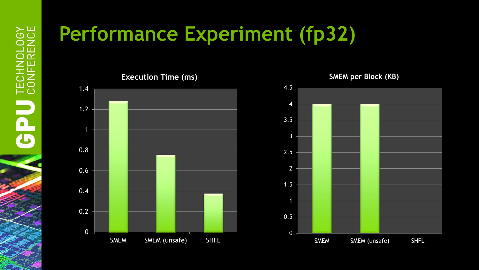## **Performance Experiment (fp32)**



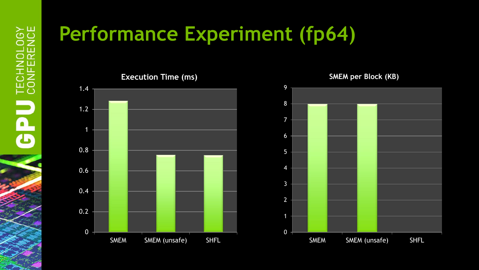## **Performance Experiment (fp64)**



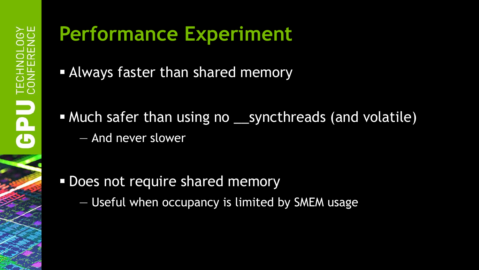- Always faster than shared memory
- Much safer than using no syncthreads (and volatile) — And never slower

- **Does not require shared memory** 
	- Useful when occupancy is limited by SMEM usage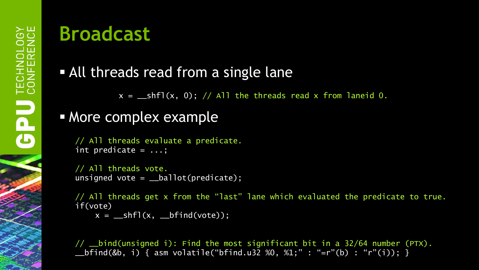## **Broadcast**

#### All threads read from a single lane

 $x = \text{shfl}(x, 0); // All the threads read x from laneid 0.$ 

#### **More complex example**

// All threads evaluate a predicate. int predicate  $= \ldots;$ 

```
// All threads vote.
unsigned vote = \_\ballot(predicate);
```
// All threads get x from the "last" lane which evaluated the predicate to true. if(vote)  $x = \text{shift}(x, \text{shift}(vote))$ ;

// \_\_bind(unsigned i): Find the most significant bit in a 32/64 number (PTX). \_\_bfind(&b, i) { asm volatile("bfind.u32 %0, %1;" : "=r"(b) : "r"(i)); }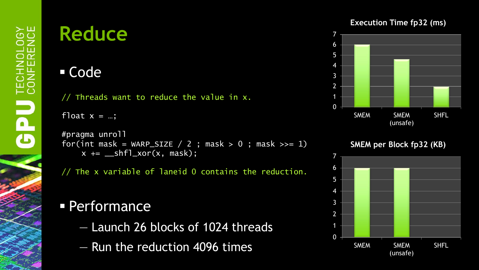### **Reduce**

#### Code

// Threads want to reduce the value in  $x$ .

float  $x = ...;$ 

```
#pragma unroll
for(int mask = WARP_SIZE / 2 ; mask > 0 ; mask >>= 1)
    x \leftarrow ___shfl_xor(x, mask);
```
// The x variable of laneid 0 contains the reduction.

#### **Performance**

- Launch 26 blocks of 1024 threads
- Run the reduction 4096 times

#### **Execution Time fp32 (ms)**



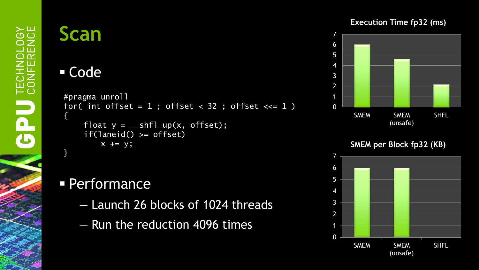### **Scan**

#### Code

```
#pragma unroll
for( int offset = 1; offset < 32; offset <<= 1)
{
     float y = \text{shfl-up}(x, \text{offset});
     if(laneid() >= offset)
         x \leftarrow y;
}
```
#### **Performance**

- Launch 26 blocks of 1024 threads
- Run the reduction 4096 times

#### **Execution Time fp32 (ms)**



**SMEM per Block fp32 (KB)**

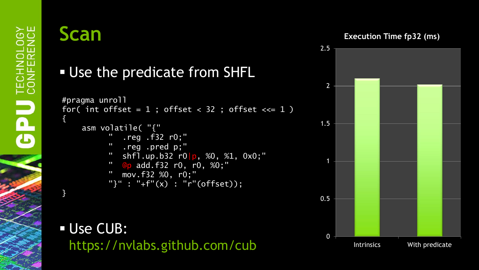#### **Scan**

}

**Execution Time fp32 (ms)**



#### Use the predicate from SHFL

```
#pragma unroll
for( int offset = 1; offset < 32; offset <<= 1)
{
    asm volatile( "{"
              \overline{\text{reg}} .f32 r0;"
               " .reg .pred p;"
           " shfl.up.b32 r0 p, %0, %1, 0x0;"
           " @p add.f32 r0, r0, %0;"
            " mov.f32 %0, r0;"
            "}" : "+f"(x) : "r"(offset));
```
 Use CUB: https://nvlabs.github.com/cub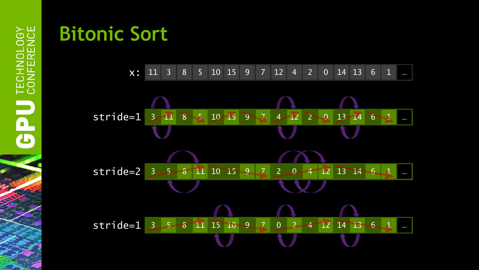

**Bitonic Sort**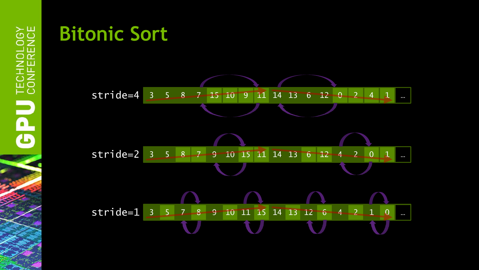

## **Bitonic Sort**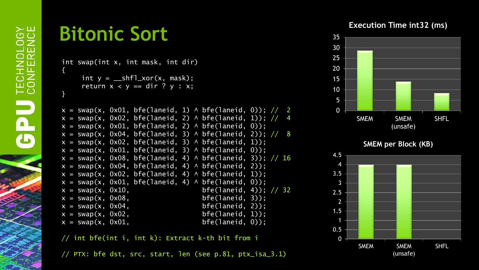### **Bitonic Sort**

```
int swap(int x, int mask, int dir) 
{
     int y = \text{shfl}_xor(x, \text{mask});
     return x < y == dir ? y : x;
}
```

```
x = swap(x, 0x01, bfe(laneid, 1) \wedge bfe(laneid, 0)); // 2x = swap(x, 0x02, bfe(1aneid, 2) \wedge bfe(1aneid, 1)); // 4x = swap(x, 0x01, bfe(laneid, 2) \wedge bfe(laneid, 0));x = swap(x, 0x04, bfe(laneid, 3) \wedge bfe(laneid, 2)); // 8x = swap(x, 0x02, bfe(laneid, 3) \wedge bfe(laneid, 1));x = swap(x, 0x01, bfe(laneid, 3) \wedge bfe(laneid, 0));x = swap(x, 0x08, bfe(1aneid, 4) \wedge bfe(1aneid, 3)); // 16x = swap(x, 0x04, bfe(laneid, 4) \wedge bfe(laneid, 2));x = swap(x, 0x02, bfe(laneid, 4) \wedge bfe(laneid, 1));x = swap(x, 0x01, bfe(laneid, 4) \wedge bfe(laneid, 0));x = swap(x, 0x10, 10x) bfe(laneid, 4)); // 32
x = swap(x, 0x08, bfe(laneid, 3));
x = swap(x, 0x04, 10x04)x = swap(x, 0x02, bfe(laneid, 1));
x = swap(x, 0x01, bfe(laneid, 0));
```
// int bfe(int i, int k): Extract k-th bit from i

// PTX: bfe dst, src, start, len (see p.81, ptx\_isa\_3.1)

#### **Execution Time int32 (ms)**



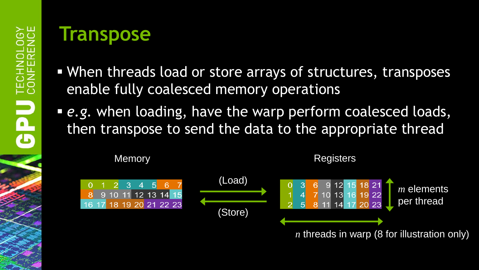#### **Transpose**

- When threads load or store arrays of structures, transposes enable fully coalesced memory operations
- *e.g.* when loading, have the warp perform coalesced loads, then transpose to send the data to the appropriate thread

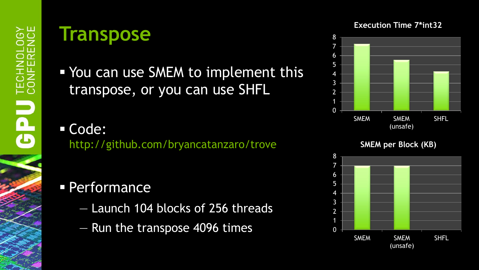#### **Transpose**

- You can use SMEM to implement this transpose, or you can use SHFL
- Code: http://github.com/bryancatanzaro/trove

#### **Performance**

- Launch 104 blocks of 256 threads
- Run the transpose 4096 times

#### **Execution Time 7\*int32**



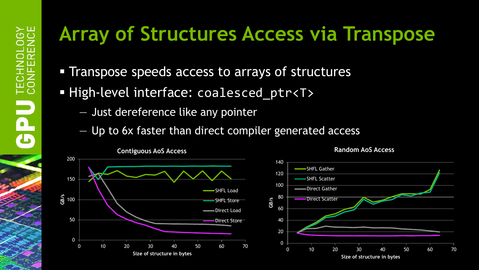## **Array of Structures Access via Transpose**

- **Transpose speeds access to arrays of structures**
- High-level interface: coalesced ptr<T>
	- Just dereference like any pointer
	- Up to 6x faster than direct compiler generated access